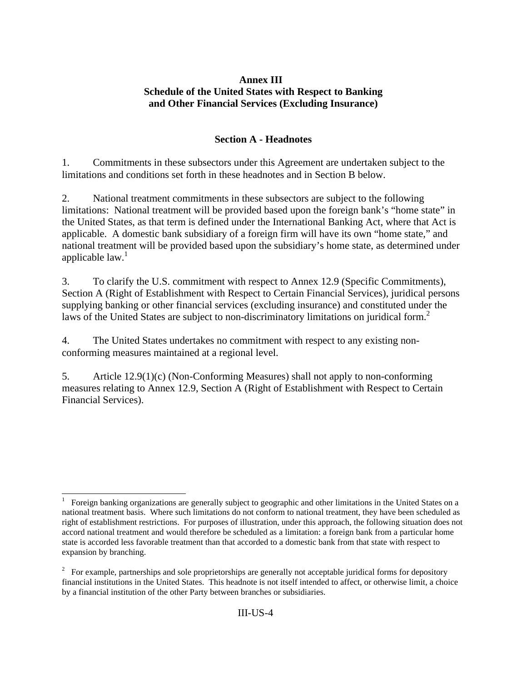## **Annex III Schedule of the United States with Respect to Banking and Other Financial Services (Excluding Insurance)**

## **Section A - Headnotes**

1. Commitments in these subsectors under this Agreement are undertaken subject to the limitations and conditions set forth in these headnotes and in Section B below.

2. National treatment commitments in these subsectors are subject to the following limitations: National treatment will be provided based upon the foreign bank's "home state" in the United States, as that term is defined under the International Banking Act, where that Act is applicable. A domestic bank subsidiary of a foreign firm will have its own "home state," and national treatment will be provided based upon the subsidiary's home state, as determined under applicable  $law<sup>1</sup>$ 

3. To clarify the U.S. commitment with respect to Annex 12.9 (Specific Commitments), Section A (Right of Establishment with Respect to Certain Financial Services), juridical persons supplying banking or other financial services (excluding insurance) and constituted under the laws of the United States are subject to non-discriminatory limitations on juridical form.<sup>2</sup>

4. The United States undertakes no commitment with respect to any existing nonconforming measures maintained at a regional level.

5. Article 12.9(1)(c) (Non-Conforming Measures) shall not apply to non-conforming measures relating to Annex 12.9, Section A (Right of Establishment with Respect to Certain Financial Services).

<sup>-</sup>1 Foreign banking organizations are generally subject to geographic and other limitations in the United States on a national treatment basis. Where such limitations do not conform to national treatment, they have been scheduled as right of establishment restrictions. For purposes of illustration, under this approach, the following situation does not accord national treatment and would therefore be scheduled as a limitation: a foreign bank from a particular home state is accorded less favorable treatment than that accorded to a domestic bank from that state with respect to expansion by branching.

 $2^2$  For example, partnerships and sole proprietorships are generally not acceptable juridical forms for depository financial institutions in the United States. This headnote is not itself intended to affect, or otherwise limit, a choice by a financial institution of the other Party between branches or subsidiaries.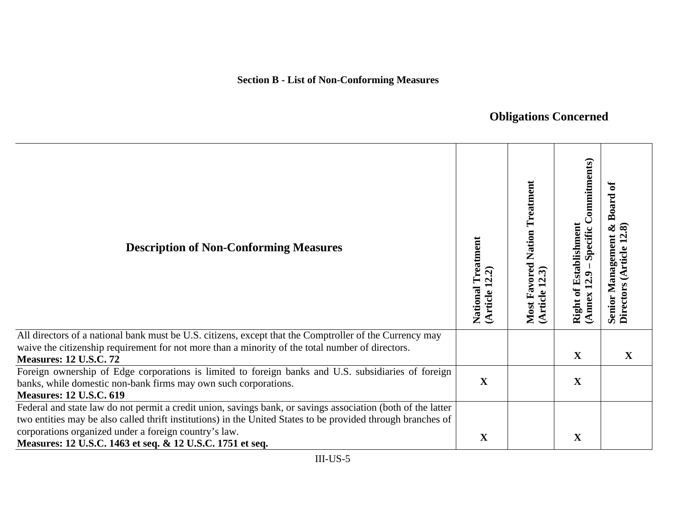## **Obligations Concerned**

| <b>Description of Non-Conforming Measures</b>                                                                                                                                                                                                                                                                                                      | National Treatment<br>(Article 12.2) | <b>Most Favored Nation Treatment</b><br>(Article 12.3) | Specific Commitments)<br>Right of Establishment<br>(Annex 12.9 | ัธ<br><b>Board</b><br>$\infty$<br>ଛ<br><b>Senior Management</b><br>Directors (Article 12 |
|----------------------------------------------------------------------------------------------------------------------------------------------------------------------------------------------------------------------------------------------------------------------------------------------------------------------------------------------------|--------------------------------------|--------------------------------------------------------|----------------------------------------------------------------|------------------------------------------------------------------------------------------|
| All directors of a national bank must be U.S. citizens, except that the Comptroller of the Currency may<br>waive the citizenship requirement for not more than a minority of the total number of directors.<br><b>Measures: 12 U.S.C. 72</b>                                                                                                       |                                      |                                                        | X                                                              | $\mathbf X$                                                                              |
| Foreign ownership of Edge corporations is limited to foreign banks and U.S. subsidiaries of foreign<br>banks, while domestic non-bank firms may own such corporations.<br><b>Measures: 12 U.S.C. 619</b>                                                                                                                                           | X                                    |                                                        | $\mathbf X$                                                    |                                                                                          |
| Federal and state law do not permit a credit union, savings bank, or savings association (both of the latter<br>two entities may be also called thrift institutions) in the United States to be provided through branches of<br>corporations organized under a foreign country's law.<br>Measures: 12 U.S.C. 1463 et seq. & 12 U.S.C. 1751 et seq. | $\mathbf X$                          |                                                        | $\mathbf X$                                                    |                                                                                          |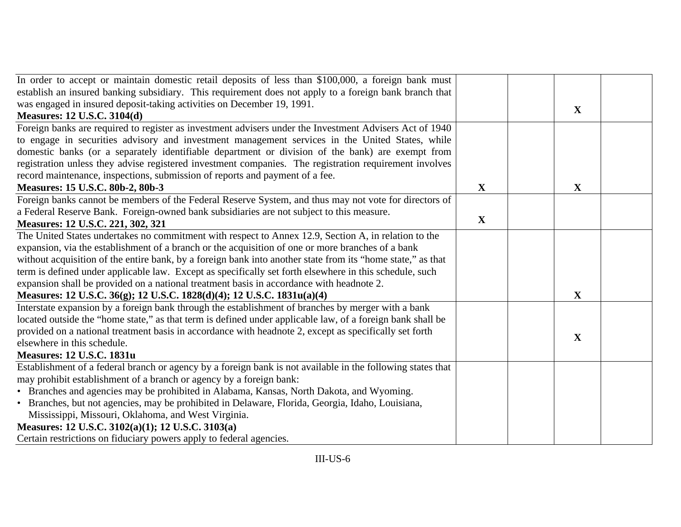| In order to accept or maintain domestic retail deposits of less than \$100,000, a foreign bank must         |             |              |  |
|-------------------------------------------------------------------------------------------------------------|-------------|--------------|--|
| establish an insured banking subsidiary. This requirement does not apply to a foreign bank branch that      |             |              |  |
| was engaged in insured deposit-taking activities on December 19, 1991.                                      |             |              |  |
| <b>Measures: 12 U.S.C. 3104(d)</b>                                                                          |             | $\mathbf X$  |  |
| Foreign banks are required to register as investment advisers under the Investment Advisers Act of 1940     |             |              |  |
| to engage in securities advisory and investment management services in the United States, while             |             |              |  |
| domestic banks (or a separately identifiable department or division of the bank) are exempt from            |             |              |  |
| registration unless they advise registered investment companies. The registration requirement involves      |             |              |  |
| record maintenance, inspections, submission of reports and payment of a fee.                                |             |              |  |
| Measures: 15 U.S.C. 80b-2, 80b-3                                                                            | $\mathbf X$ | $\mathbf{X}$ |  |
| Foreign banks cannot be members of the Federal Reserve System, and thus may not vote for directors of       |             |              |  |
| a Federal Reserve Bank. Foreign-owned bank subsidiaries are not subject to this measure.                    |             |              |  |
| Measures: 12 U.S.C. 221, 302, 321                                                                           | X           |              |  |
| The United States undertakes no commitment with respect to Annex 12.9, Section A, in relation to the        |             |              |  |
| expansion, via the establishment of a branch or the acquisition of one or more branches of a bank           |             |              |  |
| without acquisition of the entire bank, by a foreign bank into another state from its "home state," as that |             |              |  |
| term is defined under applicable law. Except as specifically set forth elsewhere in this schedule, such     |             |              |  |
| expansion shall be provided on a national treatment basis in accordance with headnote 2.                    |             |              |  |
| Measures: 12 U.S.C. 36(g); 12 U.S.C. 1828(d)(4); 12 U.S.C. 1831u(a)(4)                                      |             | $\mathbf X$  |  |
| Interstate expansion by a foreign bank through the establishment of branches by merger with a bank          |             |              |  |
| located outside the "home state," as that term is defined under applicable law, of a foreign bank shall be  |             |              |  |
| provided on a national treatment basis in accordance with headnote 2, except as specifically set forth      |             | X            |  |
| elsewhere in this schedule.                                                                                 |             |              |  |
| <b>Measures: 12 U.S.C. 1831u</b>                                                                            |             |              |  |
| Establishment of a federal branch or agency by a foreign bank is not available in the following states that |             |              |  |
| may prohibit establishment of a branch or agency by a foreign bank:                                         |             |              |  |
| • Branches and agencies may be prohibited in Alabama, Kansas, North Dakota, and Wyoming.                    |             |              |  |
| • Branches, but not agencies, may be prohibited in Delaware, Florida, Georgia, Idaho, Louisiana,            |             |              |  |
| Mississippi, Missouri, Oklahoma, and West Virginia.                                                         |             |              |  |
| Measures: 12 U.S.C. 3102(a)(1); 12 U.S.C. 3103(a)                                                           |             |              |  |
| Certain restrictions on fiduciary powers apply to federal agencies.                                         |             |              |  |